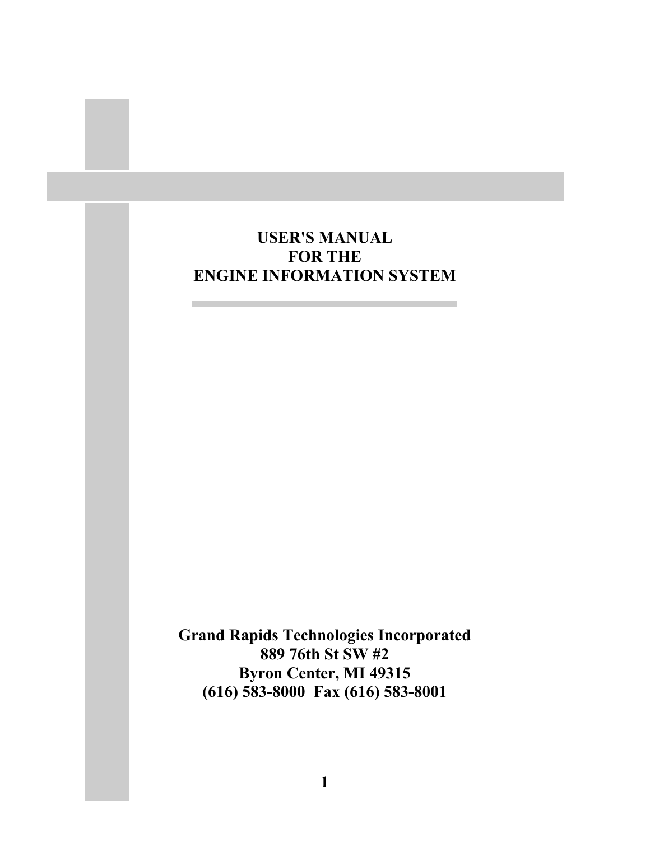# **USER'S MANUAL FOR THE ENGINE INFORMATION SYSTEM**

**Grand Rapids Technologies Incorporated 889 76th St SW #2 Byron Center, MI 49315 (616) 583-8000 Fax (616) 583-8001**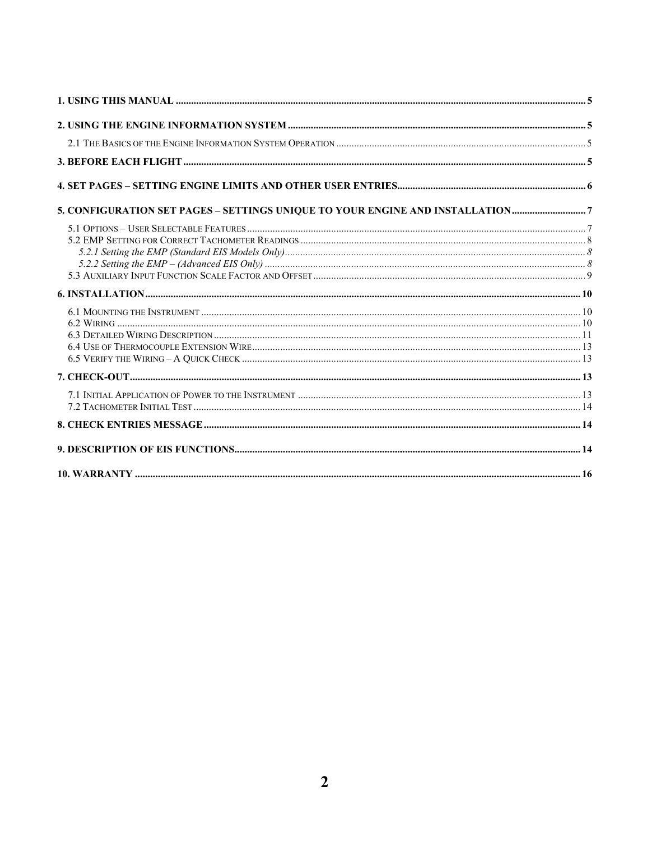| 5. CONFIGURATION SET PAGES - SETTINGS UNIQUE TO YOUR ENGINE AND INSTALLATION 7 |  |
|--------------------------------------------------------------------------------|--|
|                                                                                |  |
|                                                                                |  |
|                                                                                |  |
|                                                                                |  |
|                                                                                |  |
|                                                                                |  |
|                                                                                |  |
|                                                                                |  |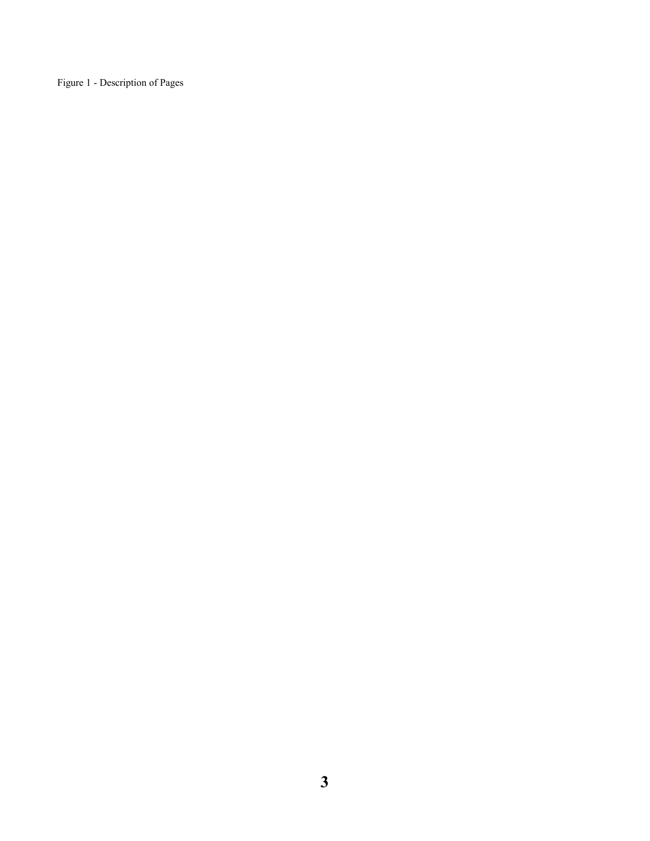Figure 1 - Description of Pages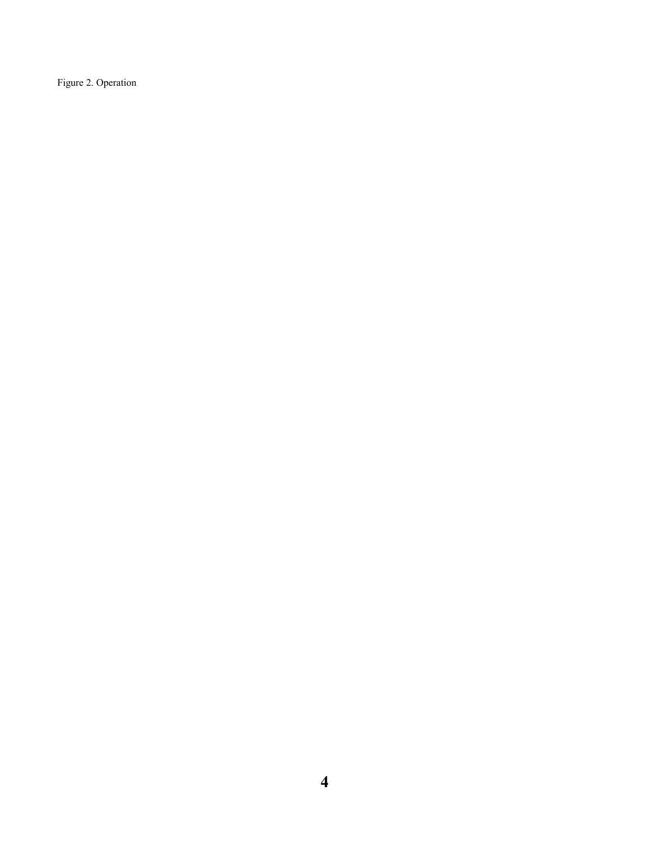Figure 2. Operation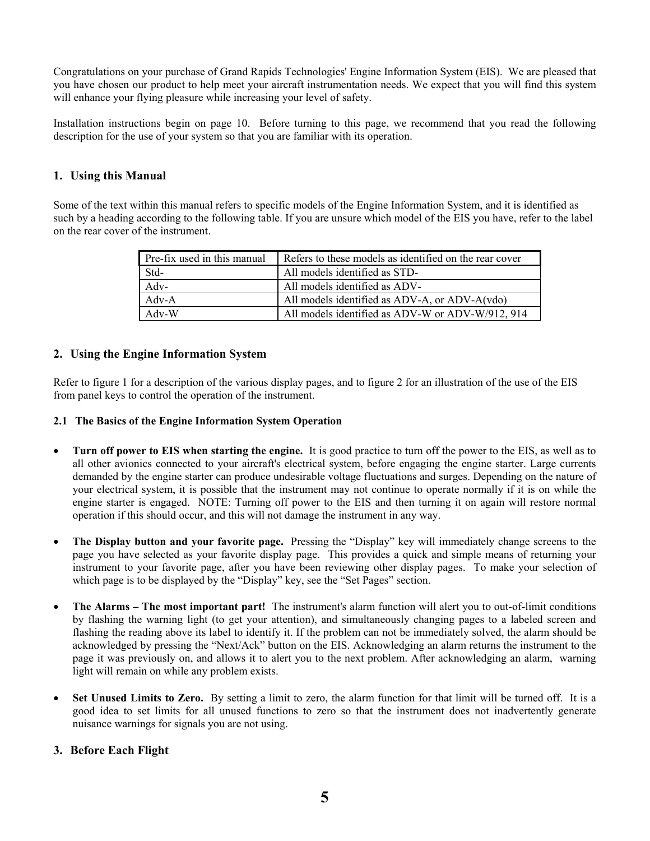Congratulations on your purchase of Grand Rapids Technologies' Engine Information System (EIS). We are pleased that you have chosen our product to help meet your aircraft instrumentation needs. We expect that you will find this system will enhance your flying pleasure while increasing your level of safety.

Installation instructions begin on page 10. Before turning to this page, we recommend that you read the following description for the use of your system so that you are familiar with its operation.

### **1. Using this Manual**

Some of the text within this manual refers to specific models of the Engine Information System, and it is identified as such by a heading according to the following table. If you are unsure which model of the EIS you have, refer to the label on the rear cover of the instrument.

| Pre-fix used in this manual | Refers to these models as identified on the rear cover |
|-----------------------------|--------------------------------------------------------|
| Std-                        | All models identified as STD-                          |
| $Adv-$                      | All models identified as ADV-                          |
| $Adv-A$                     | All models identified as ADV-A, or ADV-A(vdo)          |
| $Adv-W$                     | All models identified as ADV-W or ADV-W/912, 914       |

#### **2. Using the Engine Information System**

Refer to figure 1 for a description of the various display pages, and to figure 2 for an illustration of the use of the EIS from panel keys to control the operation of the instrument.

#### **2.1 The Basics of the Engine Information System Operation**

- **Turn off power to EIS when starting the engine.** It is good practice to turn off the power to the EIS, as well as to all other avionics connected to your aircraft's electrical system, before engaging the engine starter. Large currents demanded by the engine starter can produce undesirable voltage fluctuations and surges. Depending on the nature of your electrical system, it is possible that the instrument may not continue to operate normally if it is on while the engine starter is engaged. NOTE: Turning off power to the EIS and then turning it on again will restore normal operation if this should occur, and this will not damage the instrument in any way.
- **The Display button and your favorite page.** Pressing the "Display" key will immediately change screens to the page you have selected as your favorite display page. This provides a quick and simple means of returning your instrument to your favorite page, after you have been reviewing other display pages. To make your selection of which page is to be displayed by the "Display" key, see the "Set Pages" section.
- **The Alarms The most important part!** The instrument's alarm function will alert you to out-of-limit conditions by flashing the warning light (to get your attention), and simultaneously changing pages to a labeled screen and flashing the reading above its label to identify it. If the problem can not be immediately solved, the alarm should be acknowledged by pressing the "Next/Ack" button on the EIS. Acknowledging an alarm returns the instrument to the page it was previously on, and allows it to alert you to the next problem. After acknowledging an alarm, warning light will remain on while any problem exists.
- **Set Unused Limits to Zero.** By setting a limit to zero, the alarm function for that limit will be turned off. It is a good idea to set limits for all unused functions to zero so that the instrument does not inadvertently generate nuisance warnings for signals you are not using.

#### **3. Before Each Flight**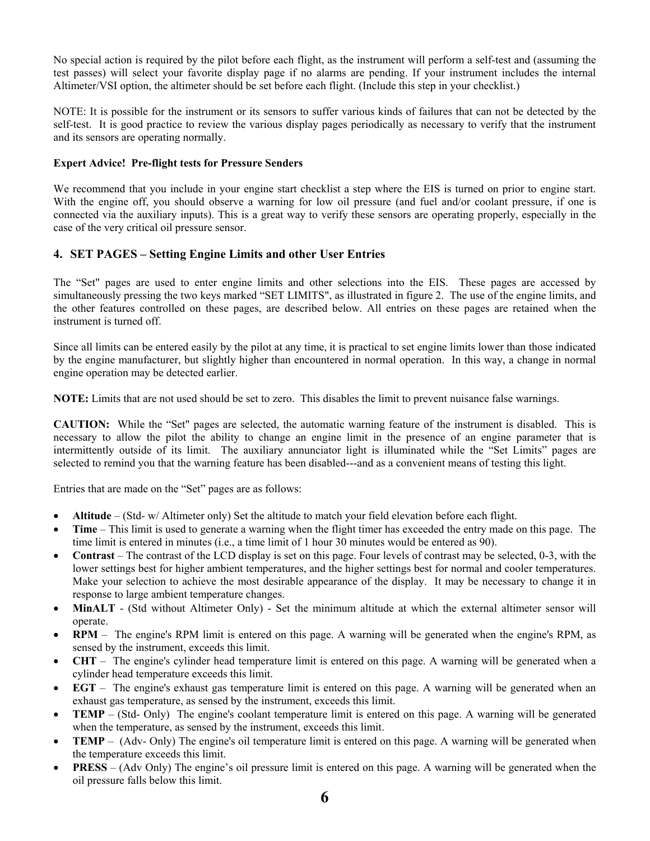No special action is required by the pilot before each flight, as the instrument will perform a self-test and (assuming the test passes) will select your favorite display page if no alarms are pending. If your instrument includes the internal Altimeter/VSI option, the altimeter should be set before each flight. (Include this step in your checklist.)

NOTE: It is possible for the instrument or its sensors to suffer various kinds of failures that can not be detected by the self-test. It is good practice to review the various display pages periodically as necessary to verify that the instrument and its sensors are operating normally.

#### **Expert Advice! Pre-flight tests for Pressure Senders**

We recommend that you include in your engine start checklist a step where the EIS is turned on prior to engine start. With the engine off, you should observe a warning for low oil pressure (and fuel and/or coolant pressure, if one is connected via the auxiliary inputs). This is a great way to verify these sensors are operating properly, especially in the case of the very critical oil pressure sensor.

# **4. SET PAGES – Setting Engine Limits and other User Entries**

The "Set" pages are used to enter engine limits and other selections into the EIS. These pages are accessed by simultaneously pressing the two keys marked "SET LIMITS", as illustrated in figure 2. The use of the engine limits, and the other features controlled on these pages, are described below. All entries on these pages are retained when the instrument is turned off.

Since all limits can be entered easily by the pilot at any time, it is practical to set engine limits lower than those indicated by the engine manufacturer, but slightly higher than encountered in normal operation. In this way, a change in normal engine operation may be detected earlier.

**NOTE:** Limits that are not used should be set to zero. This disables the limit to prevent nuisance false warnings.

**CAUTION:** While the "Set" pages are selected, the automatic warning feature of the instrument is disabled. This is necessary to allow the pilot the ability to change an engine limit in the presence of an engine parameter that is intermittently outside of its limit. The auxiliary annunciator light is illuminated while the "Set Limits" pages are selected to remind you that the warning feature has been disabled---and as a convenient means of testing this light.

Entries that are made on the "Set" pages are as follows:

- **Altitude** (Std- w/ Altimeter only) Set the altitude to match your field elevation before each flight.
- **Time** This limit is used to generate a warning when the flight timer has exceeded the entry made on this page. The time limit is entered in minutes (i.e., a time limit of 1 hour 30 minutes would be entered as 90).
- **Contrast** The contrast of the LCD display is set on this page. Four levels of contrast may be selected, 0-3, with the lower settings best for higher ambient temperatures, and the higher settings best for normal and cooler temperatures. Make your selection to achieve the most desirable appearance of the display. It may be necessary to change it in response to large ambient temperature changes.
- **MinALT** (Std without Altimeter Only) Set the minimum altitude at which the external altimeter sensor will operate.
- **RPM** The engine's RPM limit is entered on this page. A warning will be generated when the engine's RPM, as sensed by the instrument, exceeds this limit.
- **CHT** The engine's cylinder head temperature limit is entered on this page. A warning will be generated when a cylinder head temperature exceeds this limit.
- **EGT** The engine's exhaust gas temperature limit is entered on this page. A warning will be generated when an exhaust gas temperature, as sensed by the instrument, exceeds this limit.
- **TEMP** (Std- Only) The engine's coolant temperature limit is entered on this page. A warning will be generated when the temperature, as sensed by the instrument, exceeds this limit.
- **TEMP** (Adv- Only) The engine's oil temperature limit is entered on this page. A warning will be generated when the temperature exceeds this limit.
- **PRESS** (Adv Only) The engine's oil pressure limit is entered on this page. A warning will be generated when the oil pressure falls below this limit.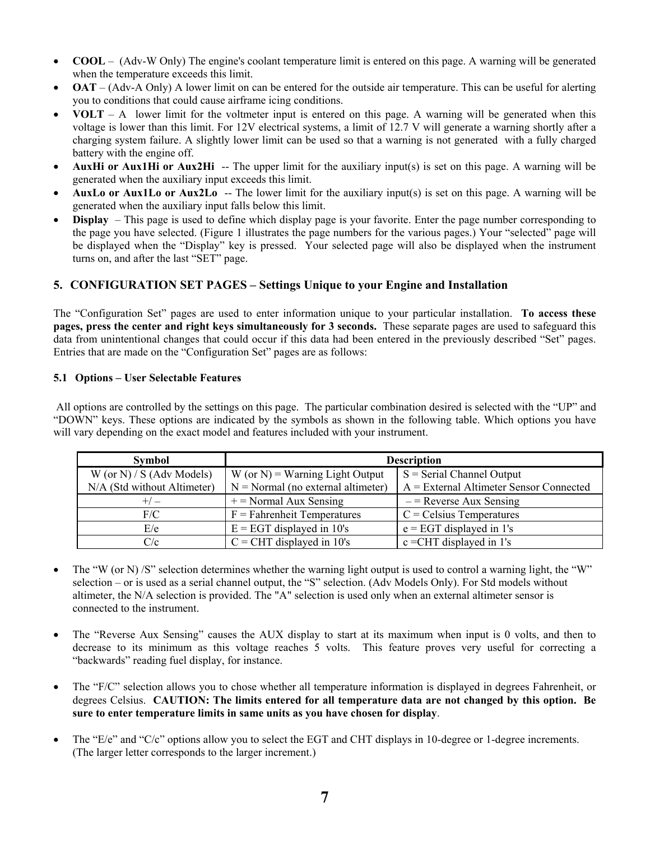- **COOL** (Adv-W Only) The engine's coolant temperature limit is entered on this page. A warning will be generated when the temperature exceeds this limit.
- **OAT** (Adv-A Only) A lower limit on can be entered for the outside air temperature. This can be useful for alerting you to conditions that could cause airframe icing conditions.
- **VOLT** A lower limit for the voltmeter input is entered on this page. A warning will be generated when this voltage is lower than this limit. For 12V electrical systems, a limit of 12.7 V will generate a warning shortly after a charging system failure. A slightly lower limit can be used so that a warning is not generated with a fully charged battery with the engine off.
- **AuxHi or Aux1Hi or Aux2Hi** -- The upper limit for the auxiliary input(s) is set on this page. A warning will be generated when the auxiliary input exceeds this limit.
- **AuxLo or Aux1Lo or Aux2Lo** -- The lower limit for the auxiliary input(s) is set on this page. A warning will be generated when the auxiliary input falls below this limit.
- **Display**  This page is used to define which display page is your favorite. Enter the page number corresponding to the page you have selected. (Figure 1 illustrates the page numbers for the various pages.) Your "selected" page will be displayed when the "Display" key is pressed. Your selected page will also be displayed when the instrument turns on, and after the last "SET" page.

# **5. CONFIGURATION SET PAGES – Settings Unique to your Engine and Installation**

The "Configuration Set" pages are used to enter information unique to your particular installation. **To access these pages, press the center and right keys simultaneously for 3 seconds.** These separate pages are used to safeguard this data from unintentional changes that could occur if this data had been entered in the previously described "Set" pages. Entries that are made on the "Configuration Set" pages are as follows:

#### **5.1 Options – User Selectable Features**

 All options are controlled by the settings on this page. The particular combination desired is selected with the "UP" and "DOWN" keys. These options are indicated by the symbols as shown in the following table. Which options you have will vary depending on the exact model and features included with your instrument.

| <b>Symbol</b>               | <b>Description</b>                   |                                           |  |
|-----------------------------|--------------------------------------|-------------------------------------------|--|
| W (or N) / S (Adv Models)   | $W$ (or N) = Warning Light Output    | $S =$ Serial Channel Output               |  |
| N/A (Std without Altimeter) | $N = Normal$ (no external altimeter) | $A =$ External Altimeter Sensor Connected |  |
| $+/-$                       | $+=$ Normal Aux Sensing              | $-$ = Reverse Aux Sensing                 |  |
| F/C                         | $F = Fahrenheit$ Temperatures        | $C = Celsius$ Temperatures                |  |
| E/e                         | $E = EGT$ displayed in 10's          | $e = EGT$ displayed in 1's                |  |
| C/c                         | $C = CHT$ displayed in 10's          | $c = CHT$ displayed in 1's                |  |

- The "W (or N) /S" selection determines whether the warning light output is used to control a warning light, the "W" selection – or is used as a serial channel output, the "S" selection. (Adv Models Only). For Std models without altimeter, the N/A selection is provided. The "A" selection is used only when an external altimeter sensor is connected to the instrument.
- The "Reverse Aux Sensing" causes the AUX display to start at its maximum when input is 0 volts, and then to decrease to its minimum as this voltage reaches 5 volts. This feature proves very useful for correcting a "backwards" reading fuel display, for instance.
- The "F/C" selection allows you to chose whether all temperature information is displayed in degrees Fahrenheit, or degrees Celsius. **CAUTION: The limits entered for all temperature data are not changed by this option. Be sure to enter temperature limits in same units as you have chosen for display**.
- The "E/e" and "C/c" options allow you to select the EGT and CHT displays in 10-degree or 1-degree increments. (The larger letter corresponds to the larger increment.)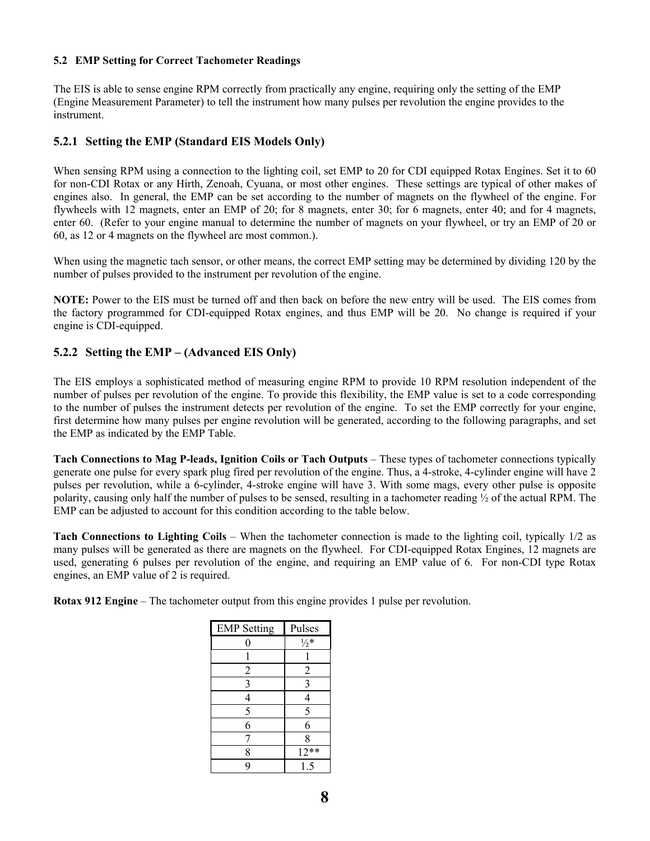#### **5.2 EMP Setting for Correct Tachometer Readings**

The EIS is able to sense engine RPM correctly from practically any engine, requiring only the setting of the EMP (Engine Measurement Parameter) to tell the instrument how many pulses per revolution the engine provides to the instrument.

#### **5.2.1 Setting the EMP (Standard EIS Models Only)**

When sensing RPM using a connection to the lighting coil, set EMP to 20 for CDI equipped Rotax Engines. Set it to 60 for non-CDI Rotax or any Hirth, Zenoah, Cyuana, or most other engines. These settings are typical of other makes of engines also. In general, the EMP can be set according to the number of magnets on the flywheel of the engine. For flywheels with 12 magnets, enter an EMP of 20; for 8 magnets, enter 30; for 6 magnets, enter 40; and for 4 magnets, enter 60. (Refer to your engine manual to determine the number of magnets on your flywheel, or try an EMP of 20 or 60, as 12 or 4 magnets on the flywheel are most common.).

When using the magnetic tach sensor, or other means, the correct EMP setting may be determined by dividing 120 by the number of pulses provided to the instrument per revolution of the engine.

**NOTE:** Power to the EIS must be turned off and then back on before the new entry will be used. The EIS comes from the factory programmed for CDI-equipped Rotax engines, and thus EMP will be 20. No change is required if your engine is CDI-equipped.

### **5.2.2 Setting the EMP – (Advanced EIS Only)**

The EIS employs a sophisticated method of measuring engine RPM to provide 10 RPM resolution independent of the number of pulses per revolution of the engine. To provide this flexibility, the EMP value is set to a code corresponding to the number of pulses the instrument detects per revolution of the engine. To set the EMP correctly for your engine, first determine how many pulses per engine revolution will be generated, according to the following paragraphs, and set the EMP as indicated by the EMP Table.

**Tach Connections to Mag P-leads, Ignition Coils or Tach Outputs** – These types of tachometer connections typically generate one pulse for every spark plug fired per revolution of the engine. Thus, a 4-stroke, 4-cylinder engine will have 2 pulses per revolution, while a 6-cylinder, 4-stroke engine will have 3. With some mags, every other pulse is opposite polarity, causing only half the number of pulses to be sensed, resulting in a tachometer reading  $\frac{1}{2}$  of the actual RPM. The EMP can be adjusted to account for this condition according to the table below.

**Tach Connections to Lighting Coils** – When the tachometer connection is made to the lighting coil, typically 1/2 as many pulses will be generated as there are magnets on the flywheel. For CDI-equipped Rotax Engines, 12 magnets are used, generating 6 pulses per revolution of the engine, and requiring an EMP value of 6. For non-CDI type Rotax engines, an EMP value of 2 is required.

**Rotax 912 Engine** – The tachometer output from this engine provides 1 pulse per revolution.

| <b>EMP</b> Setting | Pulses               |  |
|--------------------|----------------------|--|
| 0                  | $\frac{1}{2}$ *      |  |
|                    |                      |  |
| $\overline{c}$     | $\overline{c}$       |  |
| 3                  | 3                    |  |
| 4                  | 4                    |  |
| 5                  | 5                    |  |
| 6                  | 6                    |  |
|                    | 8                    |  |
| 8                  | $\overline{1}2^{**}$ |  |
| q                  | 1.5                  |  |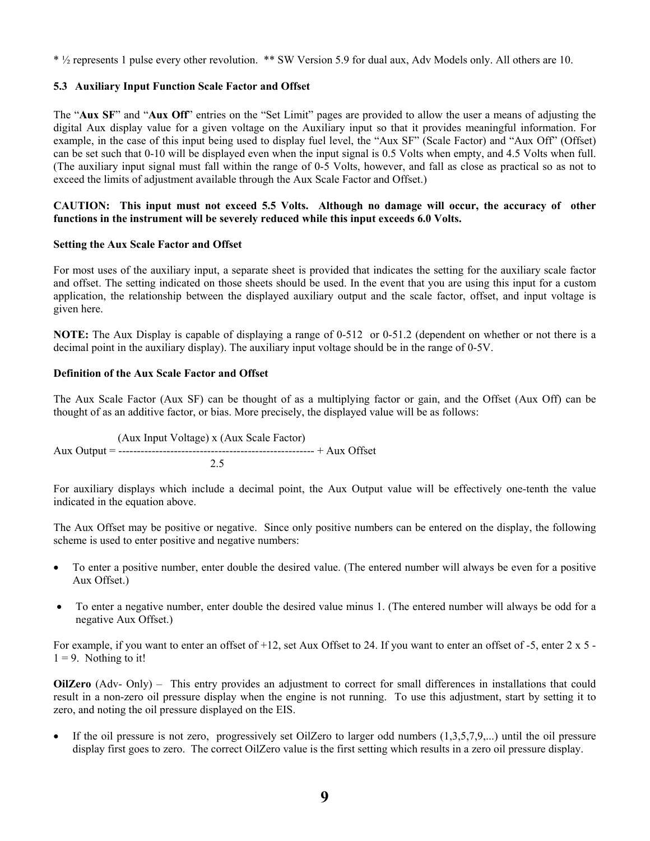\* ½ represents 1 pulse every other revolution. \*\* SW Version 5.9 for dual aux, Adv Models only. All others are 10.

#### **5.3 Auxiliary Input Function Scale Factor and Offset**

The "**Aux SF**" and "**Aux Off**" entries on the "Set Limit" pages are provided to allow the user a means of adjusting the digital Aux display value for a given voltage on the Auxiliary input so that it provides meaningful information. For example, in the case of this input being used to display fuel level, the "Aux SF" (Scale Factor) and "Aux Off" (Offset) can be set such that 0-10 will be displayed even when the input signal is 0.5 Volts when empty, and 4.5 Volts when full. (The auxiliary input signal must fall within the range of 0-5 Volts, however, and fall as close as practical so as not to exceed the limits of adjustment available through the Aux Scale Factor and Offset.)

#### **CAUTION: This input must not exceed 5.5 Volts. Although no damage will occur, the accuracy of other functions in the instrument will be severely reduced while this input exceeds 6.0 Volts.**

#### **Setting the Aux Scale Factor and Offset**

For most uses of the auxiliary input, a separate sheet is provided that indicates the setting for the auxiliary scale factor and offset. The setting indicated on those sheets should be used. In the event that you are using this input for a custom application, the relationship between the displayed auxiliary output and the scale factor, offset, and input voltage is given here.

**NOTE:** The Aux Display is capable of displaying a range of 0-512 or 0-51.2 (dependent on whether or not there is a decimal point in the auxiliary display). The auxiliary input voltage should be in the range of 0-5V.

#### **Definition of the Aux Scale Factor and Offset**

The Aux Scale Factor (Aux SF) can be thought of as a multiplying factor or gain, and the Offset (Aux Off) can be thought of as an additive factor, or bias. More precisely, the displayed value will be as follows:

 (Aux Input Voltage) x (Aux Scale Factor) Aux Output = ----------------------------------------------------- + Aux Offset 2.5

For auxiliary displays which include a decimal point, the Aux Output value will be effectively one-tenth the value indicated in the equation above.

The Aux Offset may be positive or negative. Since only positive numbers can be entered on the display, the following scheme is used to enter positive and negative numbers:

- To enter a positive number, enter double the desired value. (The entered number will always be even for a positive Aux Offset.)
- To enter a negative number, enter double the desired value minus 1. (The entered number will always be odd for a negative Aux Offset.)

For example, if you want to enter an offset of +12, set Aux Offset to 24. If you want to enter an offset of -5, enter 2 x 5 - $1 = 9$ . Nothing to it!

**OilZero** (Adv- Only) – This entry provides an adjustment to correct for small differences in installations that could result in a non-zero oil pressure display when the engine is not running. To use this adjustment, start by setting it to zero, and noting the oil pressure displayed on the EIS.

• If the oil pressure is not zero, progressively set OilZero to larger odd numbers  $(1,3,5,7,9,...)$  until the oil pressure display first goes to zero. The correct OilZero value is the first setting which results in a zero oil pressure display.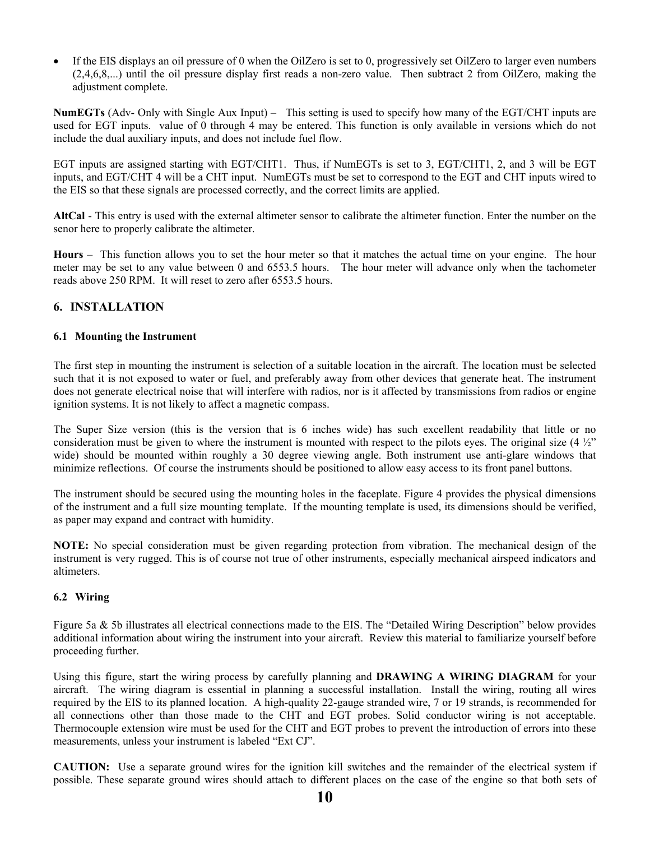• If the EIS displays an oil pressure of 0 when the OilZero is set to 0, progressively set OilZero to larger even numbers (2,4,6,8,...) until the oil pressure display first reads a non-zero value. Then subtract 2 from OilZero, making the adjustment complete.

**NumEGTs** (Adv- Only with Single Aux Input) – This setting is used to specify how many of the EGT/CHT inputs are used for EGT inputs. value of 0 through 4 may be entered. This function is only available in versions which do not include the dual auxiliary inputs, and does not include fuel flow.

EGT inputs are assigned starting with EGT/CHT1. Thus, if NumEGTs is set to 3, EGT/CHT1, 2, and 3 will be EGT inputs, and EGT/CHT 4 will be a CHT input. NumEGTs must be set to correspond to the EGT and CHT inputs wired to the EIS so that these signals are processed correctly, and the correct limits are applied.

**AltCal** - This entry is used with the external altimeter sensor to calibrate the altimeter function. Enter the number on the senor here to properly calibrate the altimeter.

**Hours** – This function allows you to set the hour meter so that it matches the actual time on your engine. The hour meter may be set to any value between 0 and 6553.5 hours. The hour meter will advance only when the tachometer reads above 250 RPM. It will reset to zero after 6553.5 hours.

# **6. INSTALLATION**

#### **6.1 Mounting the Instrument**

The first step in mounting the instrument is selection of a suitable location in the aircraft. The location must be selected such that it is not exposed to water or fuel, and preferably away from other devices that generate heat. The instrument does not generate electrical noise that will interfere with radios, nor is it affected by transmissions from radios or engine ignition systems. It is not likely to affect a magnetic compass.

The Super Size version (this is the version that is 6 inches wide) has such excellent readability that little or no consideration must be given to where the instrument is mounted with respect to the pilots eyes. The original size  $(4 \frac{1}{2})$ wide) should be mounted within roughly a 30 degree viewing angle. Both instrument use anti-glare windows that minimize reflections. Of course the instruments should be positioned to allow easy access to its front panel buttons.

The instrument should be secured using the mounting holes in the faceplate. Figure 4 provides the physical dimensions of the instrument and a full size mounting template. If the mounting template is used, its dimensions should be verified, as paper may expand and contract with humidity.

**NOTE:** No special consideration must be given regarding protection from vibration. The mechanical design of the instrument is very rugged. This is of course not true of other instruments, especially mechanical airspeed indicators and altimeters.

#### **6.2 Wiring**

Figure 5a & 5b illustrates all electrical connections made to the EIS. The "Detailed Wiring Description" below provides additional information about wiring the instrument into your aircraft. Review this material to familiarize yourself before proceeding further.

Using this figure, start the wiring process by carefully planning and **DRAWING A WIRING DIAGRAM** for your aircraft. The wiring diagram is essential in planning a successful installation. Install the wiring, routing all wires required by the EIS to its planned location. A high-quality 22-gauge stranded wire, 7 or 19 strands, is recommended for all connections other than those made to the CHT and EGT probes. Solid conductor wiring is not acceptable. Thermocouple extension wire must be used for the CHT and EGT probes to prevent the introduction of errors into these measurements, unless your instrument is labeled "Ext CJ".

**CAUTION:** Use a separate ground wires for the ignition kill switches and the remainder of the electrical system if possible. These separate ground wires should attach to different places on the case of the engine so that both sets of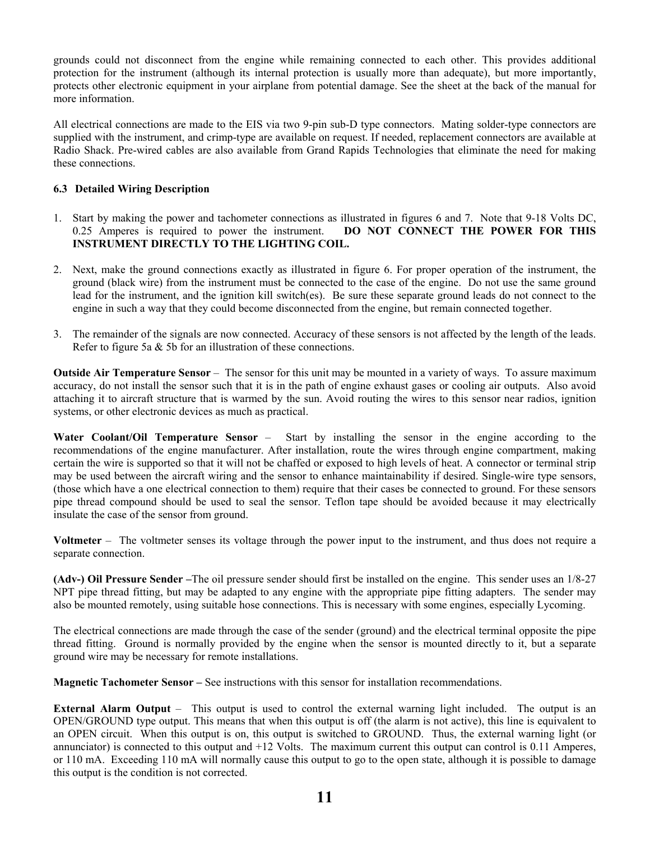grounds could not disconnect from the engine while remaining connected to each other. This provides additional protection for the instrument (although its internal protection is usually more than adequate), but more importantly, protects other electronic equipment in your airplane from potential damage. See the sheet at the back of the manual for more information.

All electrical connections are made to the EIS via two 9-pin sub-D type connectors. Mating solder-type connectors are supplied with the instrument, and crimp-type are available on request. If needed, replacement connectors are available at Radio Shack. Pre-wired cables are also available from Grand Rapids Technologies that eliminate the need for making these connections.

#### **6.3 Detailed Wiring Description**

- 1. Start by making the power and tachometer connections as illustrated in figures 6 and 7. Note that 9-18 Volts DC, 0.25 Amperes is required to power the instrument. **DO NOT CONNECT THE POWER FOR THIS INSTRUMENT DIRECTLY TO THE LIGHTING COIL.**
- 2. Next, make the ground connections exactly as illustrated in figure 6. For proper operation of the instrument, the ground (black wire) from the instrument must be connected to the case of the engine. Do not use the same ground lead for the instrument, and the ignition kill switch(es). Be sure these separate ground leads do not connect to the engine in such a way that they could become disconnected from the engine, but remain connected together.
- 3. The remainder of the signals are now connected. Accuracy of these sensors is not affected by the length of the leads. Refer to figure 5a & 5b for an illustration of these connections.

**Outside Air Temperature Sensor** – The sensor for this unit may be mounted in a variety of ways. To assure maximum accuracy, do not install the sensor such that it is in the path of engine exhaust gases or cooling air outputs. Also avoid attaching it to aircraft structure that is warmed by the sun. Avoid routing the wires to this sensor near radios, ignition systems, or other electronic devices as much as practical.

**Water Coolant/Oil Temperature Sensor** – Start by installing the sensor in the engine according to the recommendations of the engine manufacturer. After installation, route the wires through engine compartment, making certain the wire is supported so that it will not be chaffed or exposed to high levels of heat. A connector or terminal strip may be used between the aircraft wiring and the sensor to enhance maintainability if desired. Single-wire type sensors, (those which have a one electrical connection to them) require that their cases be connected to ground. For these sensors pipe thread compound should be used to seal the sensor. Teflon tape should be avoided because it may electrically insulate the case of the sensor from ground.

**Voltmeter** – The voltmeter senses its voltage through the power input to the instrument, and thus does not require a separate connection.

**(Adv-) Oil Pressure Sender –**The oil pressure sender should first be installed on the engine. This sender uses an 1/8-27 NPT pipe thread fitting, but may be adapted to any engine with the appropriate pipe fitting adapters. The sender may also be mounted remotely, using suitable hose connections. This is necessary with some engines, especially Lycoming.

The electrical connections are made through the case of the sender (ground) and the electrical terminal opposite the pipe thread fitting. Ground is normally provided by the engine when the sensor is mounted directly to it, but a separate ground wire may be necessary for remote installations.

**Magnetic Tachometer Sensor –** See instructions with this sensor for installation recommendations.

**External Alarm Output** – This output is used to control the external warning light included. The output is an OPEN/GROUND type output. This means that when this output is off (the alarm is not active), this line is equivalent to an OPEN circuit. When this output is on, this output is switched to GROUND. Thus, the external warning light (or annunciator) is connected to this output and +12 Volts. The maximum current this output can control is 0.11 Amperes, or 110 mA. Exceeding 110 mA will normally cause this output to go to the open state, although it is possible to damage this output is the condition is not corrected.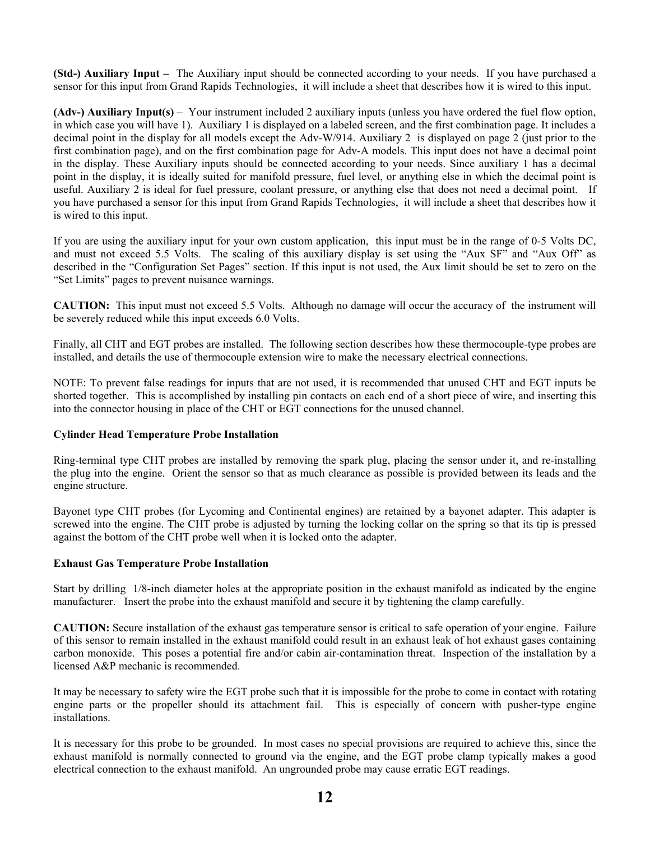**(Std-) Auxiliary Input –** The Auxiliary input should be connected according to your needs. If you have purchased a sensor for this input from Grand Rapids Technologies, it will include a sheet that describes how it is wired to this input.

**(Adv-) Auxiliary Input(s) –** Your instrument included 2 auxiliary inputs (unless you have ordered the fuel flow option, in which case you will have 1). Auxiliary 1 is displayed on a labeled screen, and the first combination page. It includes a decimal point in the display for all models except the Adv-W/914. Auxiliary 2 is displayed on page 2 (just prior to the first combination page), and on the first combination page for Adv-A models. This input does not have a decimal point in the display. These Auxiliary inputs should be connected according to your needs. Since auxiliary 1 has a decimal point in the display, it is ideally suited for manifold pressure, fuel level, or anything else in which the decimal point is useful. Auxiliary 2 is ideal for fuel pressure, coolant pressure, or anything else that does not need a decimal point. If you have purchased a sensor for this input from Grand Rapids Technologies, it will include a sheet that describes how it is wired to this input.

If you are using the auxiliary input for your own custom application, this input must be in the range of 0-5 Volts DC, and must not exceed 5.5 Volts. The scaling of this auxiliary display is set using the "Aux SF" and "Aux Off" as described in the "Configuration Set Pages" section. If this input is not used, the Aux limit should be set to zero on the "Set Limits" pages to prevent nuisance warnings.

**CAUTION:** This input must not exceed 5.5 Volts. Although no damage will occur the accuracy of the instrument will be severely reduced while this input exceeds 6.0 Volts.

Finally, all CHT and EGT probes are installed. The following section describes how these thermocouple-type probes are installed, and details the use of thermocouple extension wire to make the necessary electrical connections.

NOTE: To prevent false readings for inputs that are not used, it is recommended that unused CHT and EGT inputs be shorted together. This is accomplished by installing pin contacts on each end of a short piece of wire, and inserting this into the connector housing in place of the CHT or EGT connections for the unused channel.

#### **Cylinder Head Temperature Probe Installation**

Ring-terminal type CHT probes are installed by removing the spark plug, placing the sensor under it, and re-installing the plug into the engine. Orient the sensor so that as much clearance as possible is provided between its leads and the engine structure.

Bayonet type CHT probes (for Lycoming and Continental engines) are retained by a bayonet adapter. This adapter is screwed into the engine. The CHT probe is adjusted by turning the locking collar on the spring so that its tip is pressed against the bottom of the CHT probe well when it is locked onto the adapter.

#### **Exhaust Gas Temperature Probe Installation**

Start by drilling 1/8-inch diameter holes at the appropriate position in the exhaust manifold as indicated by the engine manufacturer. Insert the probe into the exhaust manifold and secure it by tightening the clamp carefully.

**CAUTION:** Secure installation of the exhaust gas temperature sensor is critical to safe operation of your engine. Failure of this sensor to remain installed in the exhaust manifold could result in an exhaust leak of hot exhaust gases containing carbon monoxide. This poses a potential fire and/or cabin air-contamination threat. Inspection of the installation by a licensed A&P mechanic is recommended.

It may be necessary to safety wire the EGT probe such that it is impossible for the probe to come in contact with rotating engine parts or the propeller should its attachment fail. This is especially of concern with pusher-type engine installations.

It is necessary for this probe to be grounded. In most cases no special provisions are required to achieve this, since the exhaust manifold is normally connected to ground via the engine, and the EGT probe clamp typically makes a good electrical connection to the exhaust manifold. An ungrounded probe may cause erratic EGT readings.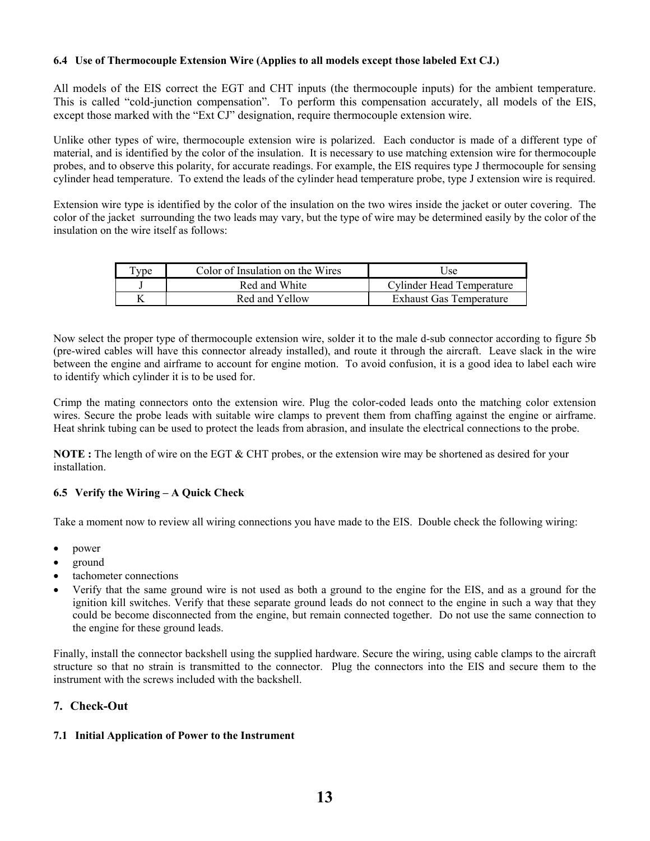#### **6.4 Use of Thermocouple Extension Wire (Applies to all models except those labeled Ext CJ.)**

All models of the EIS correct the EGT and CHT inputs (the thermocouple inputs) for the ambient temperature. This is called "cold-junction compensation". To perform this compensation accurately, all models of the EIS, except those marked with the "Ext CJ" designation, require thermocouple extension wire.

Unlike other types of wire, thermocouple extension wire is polarized. Each conductor is made of a different type of material, and is identified by the color of the insulation. It is necessary to use matching extension wire for thermocouple probes, and to observe this polarity, for accurate readings. For example, the EIS requires type J thermocouple for sensing cylinder head temperature. To extend the leads of the cylinder head temperature probe, type J extension wire is required.

Extension wire type is identified by the color of the insulation on the two wires inside the jacket or outer covering. The color of the jacket surrounding the two leads may vary, but the type of wire may be determined easily by the color of the insulation on the wire itself as follows:

| $T_{V}$ pe | Color of Insulation on the Wires | Use                            |
|------------|----------------------------------|--------------------------------|
|            | Red and White                    | Cylinder Head Temperature      |
|            | Red and Yellow                   | <b>Exhaust Gas Temperature</b> |

Now select the proper type of thermocouple extension wire, solder it to the male d-sub connector according to figure 5b (pre-wired cables will have this connector already installed), and route it through the aircraft. Leave slack in the wire between the engine and airframe to account for engine motion. To avoid confusion, it is a good idea to label each wire to identify which cylinder it is to be used for.

Crimp the mating connectors onto the extension wire. Plug the color-coded leads onto the matching color extension wires. Secure the probe leads with suitable wire clamps to prevent them from chaffing against the engine or airframe. Heat shrink tubing can be used to protect the leads from abrasion, and insulate the electrical connections to the probe.

**NOTE :** The length of wire on the EGT & CHT probes, or the extension wire may be shortened as desired for your installation.

#### **6.5 Verify the Wiring – A Quick Check**

Take a moment now to review all wiring connections you have made to the EIS. Double check the following wiring:

- power
- ground
- tachometer connections
- Verify that the same ground wire is not used as both a ground to the engine for the EIS, and as a ground for the ignition kill switches. Verify that these separate ground leads do not connect to the engine in such a way that they could be become disconnected from the engine, but remain connected together. Do not use the same connection to the engine for these ground leads.

Finally, install the connector backshell using the supplied hardware. Secure the wiring, using cable clamps to the aircraft structure so that no strain is transmitted to the connector. Plug the connectors into the EIS and secure them to the instrument with the screws included with the backshell.

#### **7. Check-Out**

#### **7.1 Initial Application of Power to the Instrument**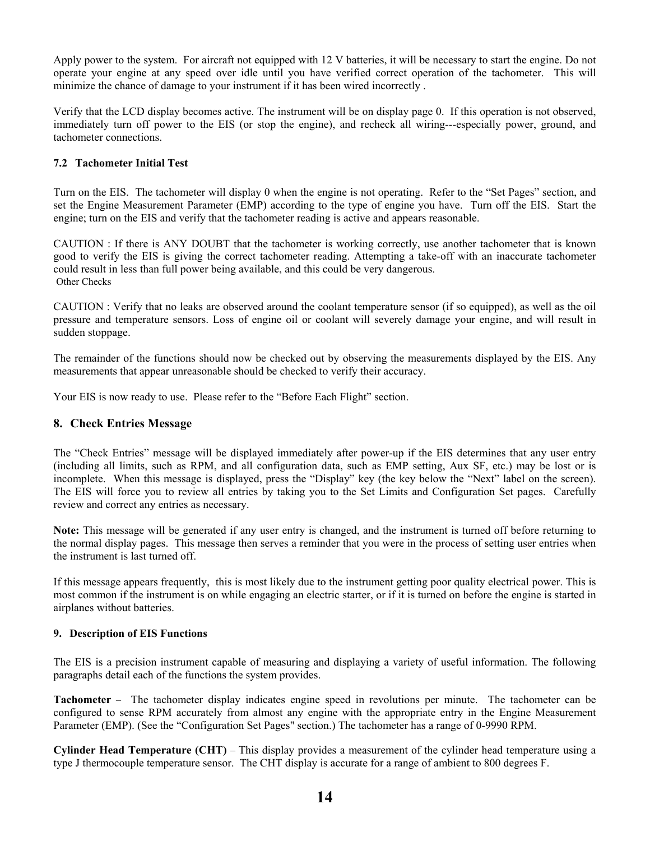Apply power to the system. For aircraft not equipped with 12 V batteries, it will be necessary to start the engine. Do not operate your engine at any speed over idle until you have verified correct operation of the tachometer. This will minimize the chance of damage to your instrument if it has been wired incorrectly .

Verify that the LCD display becomes active. The instrument will be on display page 0. If this operation is not observed, immediately turn off power to the EIS (or stop the engine), and recheck all wiring---especially power, ground, and tachometer connections.

#### **7.2 Tachometer Initial Test**

Turn on the EIS. The tachometer will display 0 when the engine is not operating. Refer to the "Set Pages" section, and set the Engine Measurement Parameter (EMP) according to the type of engine you have. Turn off the EIS. Start the engine; turn on the EIS and verify that the tachometer reading is active and appears reasonable.

CAUTION : If there is ANY DOUBT that the tachometer is working correctly, use another tachometer that is known good to verify the EIS is giving the correct tachometer reading. Attempting a take-off with an inaccurate tachometer could result in less than full power being available, and this could be very dangerous. Other Checks

CAUTION : Verify that no leaks are observed around the coolant temperature sensor (if so equipped), as well as the oil pressure and temperature sensors. Loss of engine oil or coolant will severely damage your engine, and will result in sudden stoppage.

The remainder of the functions should now be checked out by observing the measurements displayed by the EIS. Any measurements that appear unreasonable should be checked to verify their accuracy.

Your EIS is now ready to use. Please refer to the "Before Each Flight" section.

#### **8. Check Entries Message**

The "Check Entries" message will be displayed immediately after power-up if the EIS determines that any user entry (including all limits, such as RPM, and all configuration data, such as EMP setting, Aux SF, etc.) may be lost or is incomplete. When this message is displayed, press the "Display" key (the key below the "Next" label on the screen). The EIS will force you to review all entries by taking you to the Set Limits and Configuration Set pages. Carefully review and correct any entries as necessary.

**Note:** This message will be generated if any user entry is changed, and the instrument is turned off before returning to the normal display pages. This message then serves a reminder that you were in the process of setting user entries when the instrument is last turned off.

If this message appears frequently, this is most likely due to the instrument getting poor quality electrical power. This is most common if the instrument is on while engaging an electric starter, or if it is turned on before the engine is started in airplanes without batteries.

#### **9. Description of EIS Functions**

The EIS is a precision instrument capable of measuring and displaying a variety of useful information. The following paragraphs detail each of the functions the system provides.

**Tachometer** – The tachometer display indicates engine speed in revolutions per minute. The tachometer can be configured to sense RPM accurately from almost any engine with the appropriate entry in the Engine Measurement Parameter (EMP). (See the "Configuration Set Pages" section.) The tachometer has a range of 0-9990 RPM.

**Cylinder Head Temperature (CHT)** – This display provides a measurement of the cylinder head temperature using a type J thermocouple temperature sensor. The CHT display is accurate for a range of ambient to 800 degrees F.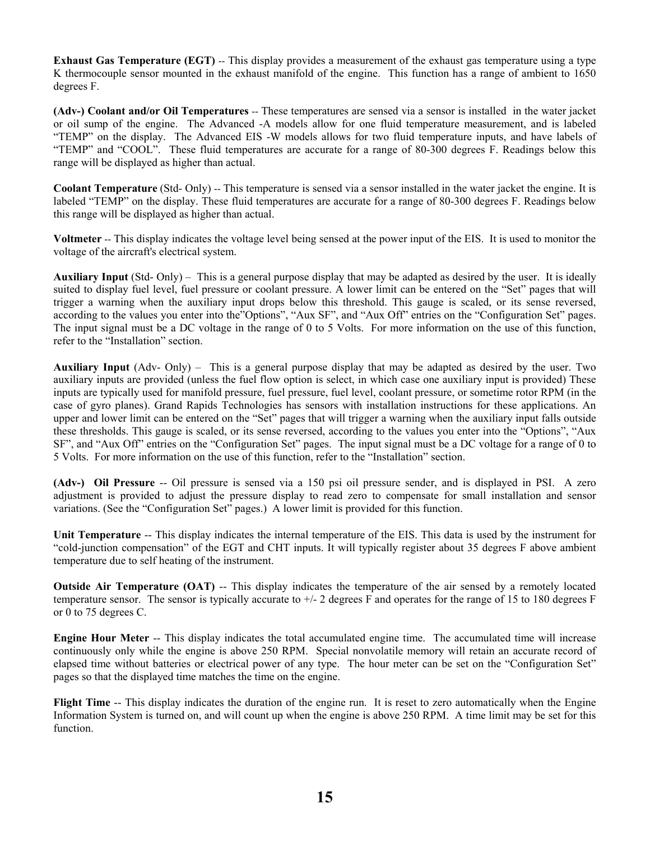**Exhaust Gas Temperature (EGT)** -- This display provides a measurement of the exhaust gas temperature using a type K thermocouple sensor mounted in the exhaust manifold of the engine. This function has a range of ambient to 1650 degrees F.

**(Adv-) Coolant and/or Oil Temperatures** -- These temperatures are sensed via a sensor is installed in the water jacket or oil sump of the engine. The Advanced -A models allow for one fluid temperature measurement, and is labeled "TEMP" on the display. The Advanced EIS -W models allows for two fluid temperature inputs, and have labels of "TEMP" and "COOL". These fluid temperatures are accurate for a range of 80-300 degrees F. Readings below this range will be displayed as higher than actual.

**Coolant Temperature** (Std- Only) -- This temperature is sensed via a sensor installed in the water jacket the engine. It is labeled "TEMP" on the display. These fluid temperatures are accurate for a range of 80-300 degrees F. Readings below this range will be displayed as higher than actual.

**Voltmeter** -- This display indicates the voltage level being sensed at the power input of the EIS. It is used to monitor the voltage of the aircraft's electrical system.

**Auxiliary Input** (Std- Only) – This is a general purpose display that may be adapted as desired by the user. It is ideally suited to display fuel level, fuel pressure or coolant pressure. A lower limit can be entered on the "Set" pages that will trigger a warning when the auxiliary input drops below this threshold. This gauge is scaled, or its sense reversed, according to the values you enter into the"Options", "Aux SF", and "Aux Off" entries on the "Configuration Set" pages. The input signal must be a DC voltage in the range of 0 to 5 Volts. For more information on the use of this function, refer to the "Installation" section.

**Auxiliary Input** (Adv- Only) – This is a general purpose display that may be adapted as desired by the user. Two auxiliary inputs are provided (unless the fuel flow option is select, in which case one auxiliary input is provided) These inputs are typically used for manifold pressure, fuel pressure, fuel level, coolant pressure, or sometime rotor RPM (in the case of gyro planes). Grand Rapids Technologies has sensors with installation instructions for these applications. An upper and lower limit can be entered on the "Set" pages that will trigger a warning when the auxiliary input falls outside these thresholds. This gauge is scaled, or its sense reversed, according to the values you enter into the "Options", "Aux SF", and "Aux Off" entries on the "Configuration Set" pages. The input signal must be a DC voltage for a range of 0 to 5 Volts. For more information on the use of this function, refer to the "Installation" section.

**(Adv-) Oil Pressure** -- Oil pressure is sensed via a 150 psi oil pressure sender, and is displayed in PSI. A zero adjustment is provided to adjust the pressure display to read zero to compensate for small installation and sensor variations. (See the "Configuration Set" pages.) A lower limit is provided for this function.

**Unit Temperature** -- This display indicates the internal temperature of the EIS. This data is used by the instrument for "cold-junction compensation" of the EGT and CHT inputs. It will typically register about 35 degrees F above ambient temperature due to self heating of the instrument.

**Outside Air Temperature (OAT)** -- This display indicates the temperature of the air sensed by a remotely located temperature sensor. The sensor is typically accurate to +/- 2 degrees F and operates for the range of 15 to 180 degrees F or 0 to 75 degrees C.

**Engine Hour Meter** -- This display indicates the total accumulated engine time. The accumulated time will increase continuously only while the engine is above 250 RPM. Special nonvolatile memory will retain an accurate record of elapsed time without batteries or electrical power of any type. The hour meter can be set on the "Configuration Set" pages so that the displayed time matches the time on the engine.

**Flight Time** -- This display indicates the duration of the engine run. It is reset to zero automatically when the Engine Information System is turned on, and will count up when the engine is above 250 RPM. A time limit may be set for this function.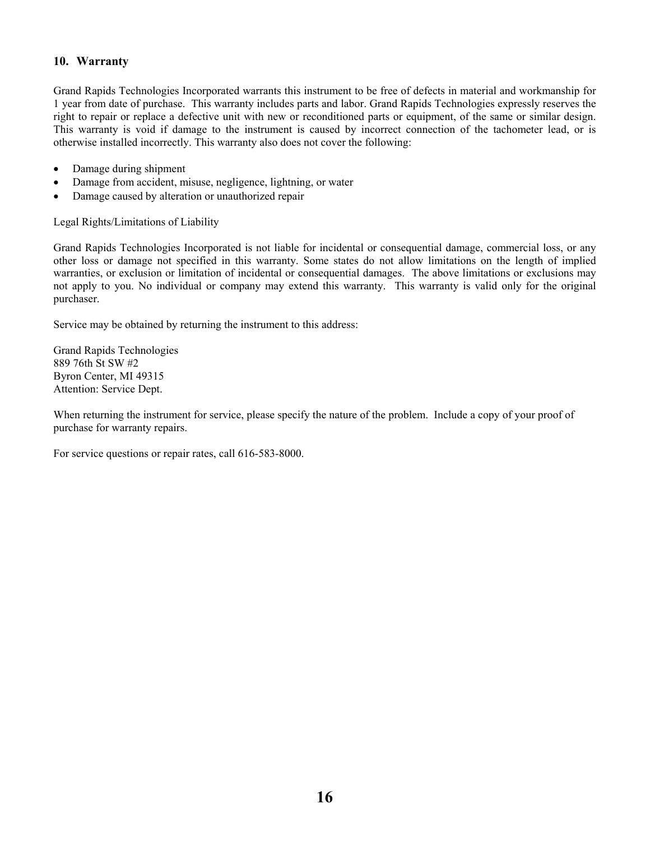### **10. Warranty**

Grand Rapids Technologies Incorporated warrants this instrument to be free of defects in material and workmanship for 1 year from date of purchase. This warranty includes parts and labor. Grand Rapids Technologies expressly reserves the right to repair or replace a defective unit with new or reconditioned parts or equipment, of the same or similar design. This warranty is void if damage to the instrument is caused by incorrect connection of the tachometer lead, or is otherwise installed incorrectly. This warranty also does not cover the following:

- Damage during shipment
- Damage from accident, misuse, negligence, lightning, or water
- Damage caused by alteration or unauthorized repair

Legal Rights/Limitations of Liability

Grand Rapids Technologies Incorporated is not liable for incidental or consequential damage, commercial loss, or any other loss or damage not specified in this warranty. Some states do not allow limitations on the length of implied warranties, or exclusion or limitation of incidental or consequential damages. The above limitations or exclusions may not apply to you. No individual or company may extend this warranty. This warranty is valid only for the original purchaser.

Service may be obtained by returning the instrument to this address:

Grand Rapids Technologies 889 76th St SW #2 Byron Center, MI 49315 Attention: Service Dept.

When returning the instrument for service, please specify the nature of the problem. Include a copy of your proof of purchase for warranty repairs.

For service questions or repair rates, call 616-583-8000.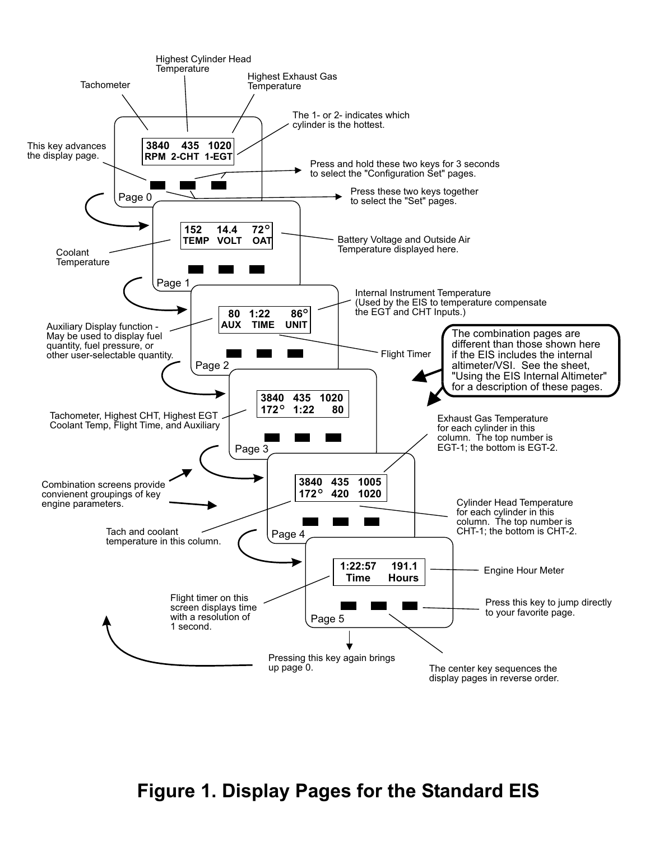

# **Figure 1. Display Pages for the Standard EIS**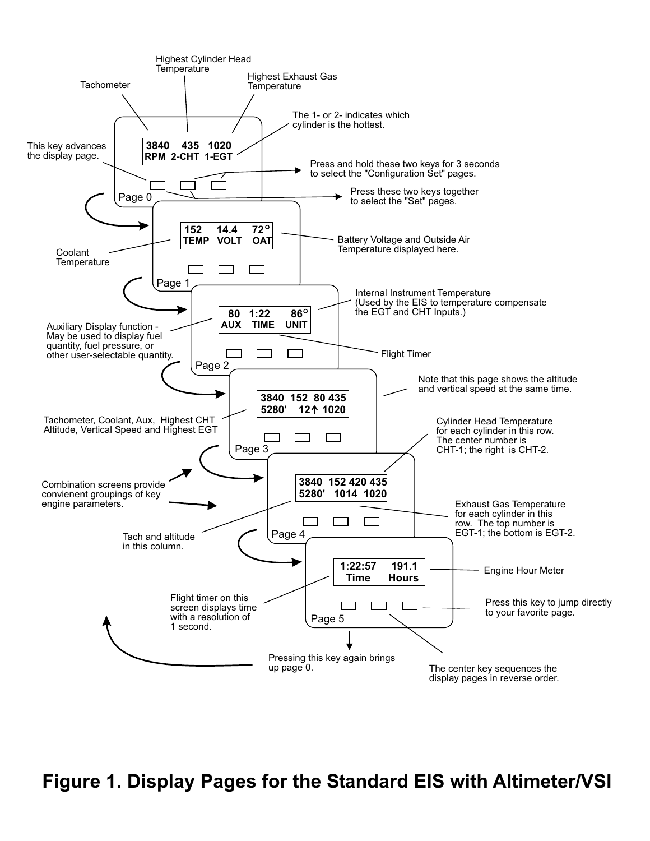

**Figure 1. Display Pages for the Standard EIS with Altimeter/VSI**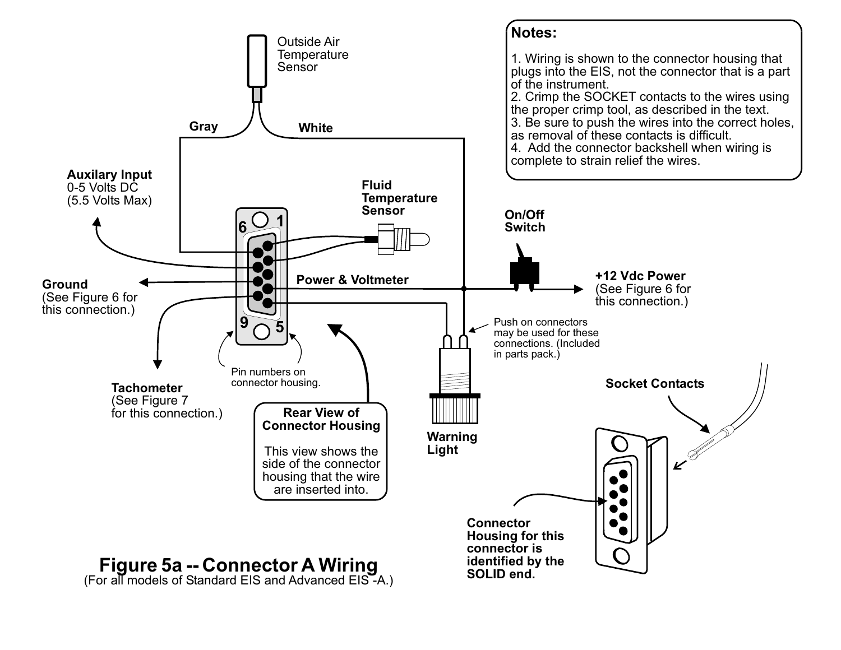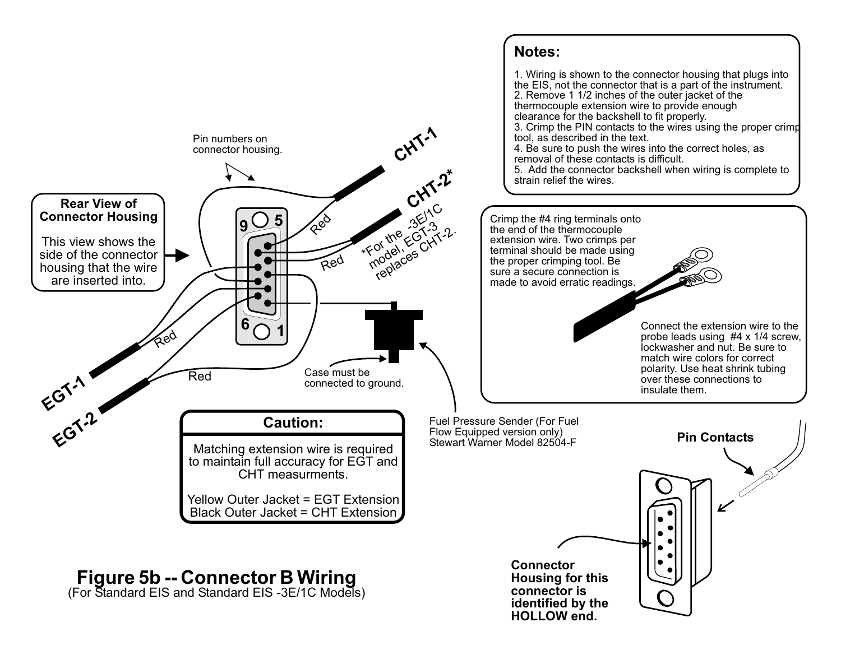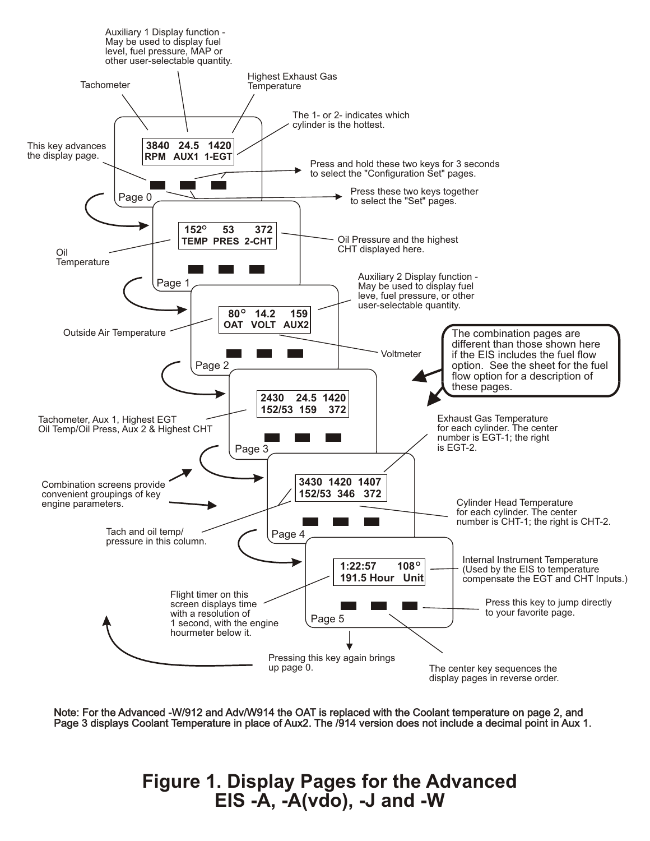

Note: For the Advanced -W/912 and Adv/W914 the OAT is replaced with the Coolant temperature on page 2, and Page 3 displays Coolant Temperature in place of Aux2. The /914 version does not include a decimal point in Aux 1.

> **Figure 1. Display Pages for the Advanced EIS -A, -A(vdo), -J and -W**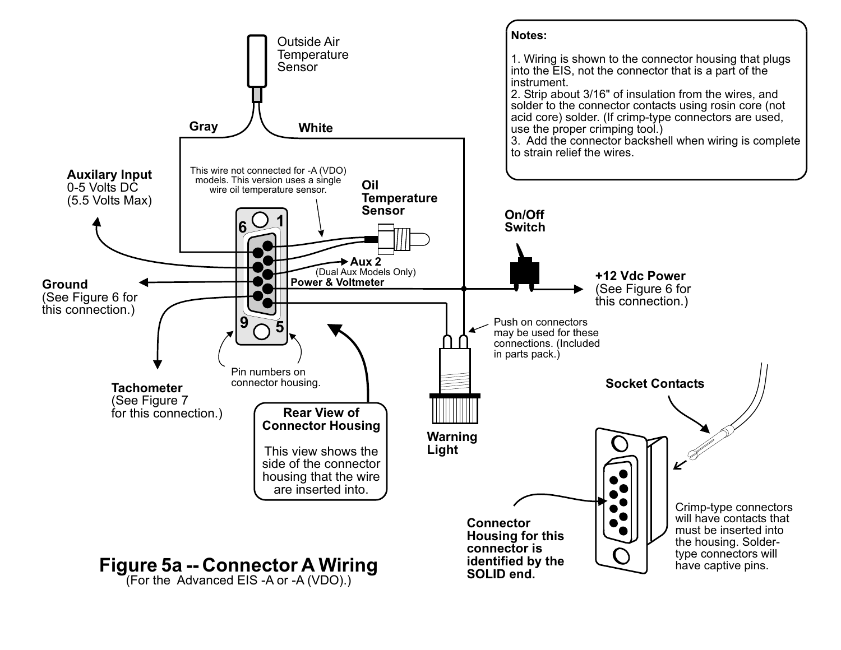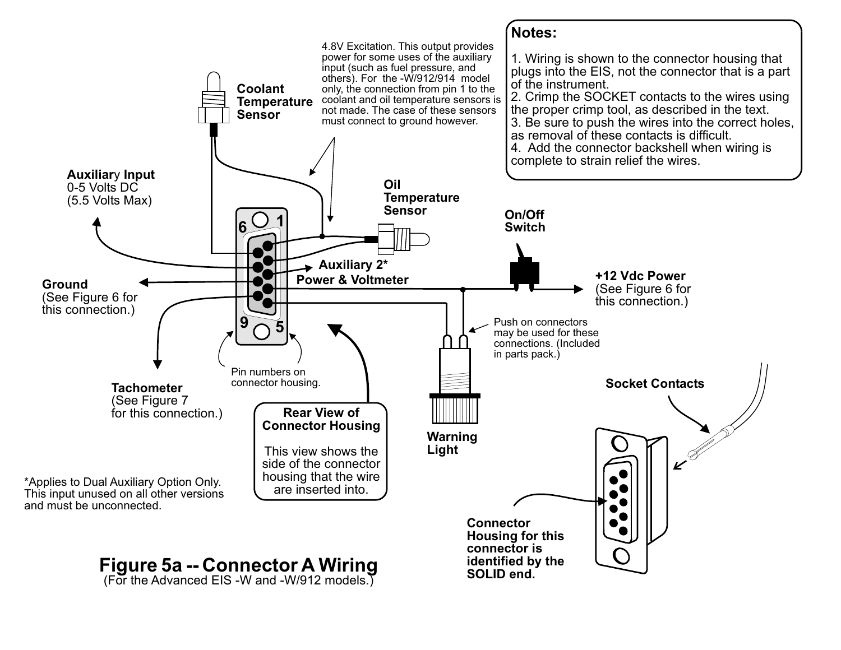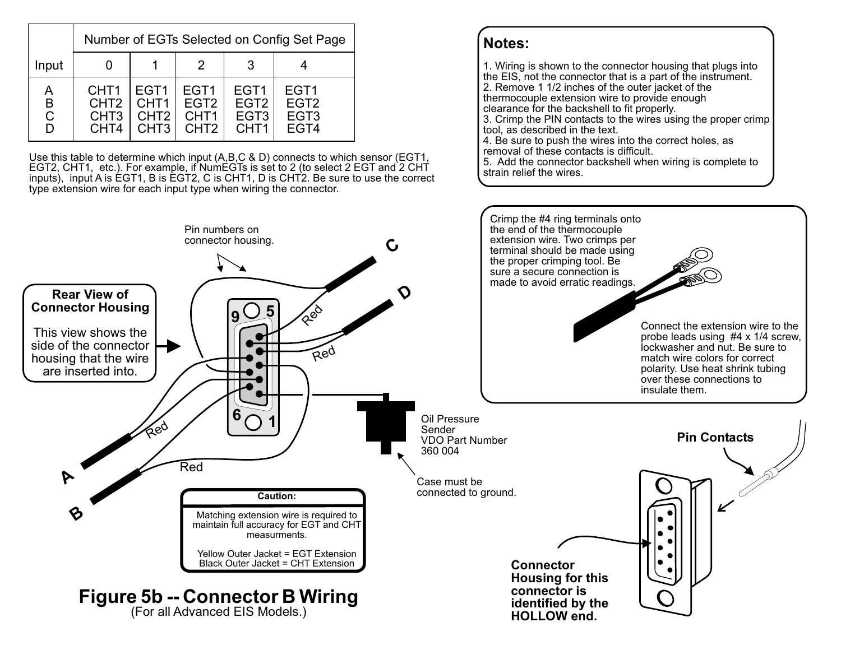|                        | Number of EGTs Selected on Config Set Page                                   |                                                                              |                                                                              |                                                                              |                                                                  |
|------------------------|------------------------------------------------------------------------------|------------------------------------------------------------------------------|------------------------------------------------------------------------------|------------------------------------------------------------------------------|------------------------------------------------------------------|
| Input                  |                                                                              |                                                                              |                                                                              |                                                                              |                                                                  |
| А<br>B<br>$\mathsf{C}$ | CHT <sub>1</sub><br>CHT <sub>2</sub><br>CHT <sub>3</sub><br>CHT <sub>4</sub> | EGT <sub>1</sub><br>CHT <sub>1</sub><br>CHT <sub>2</sub><br>CHT <sub>3</sub> | EGT <sub>1</sub><br>EGT <sub>2</sub><br>CHT <sub>1</sub><br>CHT <sub>2</sub> | EGT <sub>1</sub><br>EGT <sub>2</sub><br>EGT <sub>3</sub><br>CHT <sub>1</sub> | EGT <sub>1</sub><br>EGT <sub>2</sub><br>EGT <sub>3</sub><br>EGT4 |

Use this table to determine which input (A,B,C & D) connects to which sensor (EGT1, EGT2, CHT1, etc.). For example, if NumEGTs is set to 2 (to select 2 EGT and 2 CHT inputs), input A is EGT1, B is EGT2, C is CHT1, D is CHT2. Be sure to use the correct type extension wire for each input type when wiring the connector.

# **Notes:**

1. Wiring is shown to the connector housing that plugs into the EIS, not the connector that is a part of the instrument. 2. Remove 1 1/2 inches of the outer jacket of the thermocouple extension wire to provide enough clearance for the backshell to fit properly. 3. Crimp the PIN contacts to the wires using the proper crimp tool, as described in the text. 4. Be sure to push the wires into the correct holes, as removal of these contacts is difficult.

5. Add the connector backshell when wiring is complete to strain relief the wires.